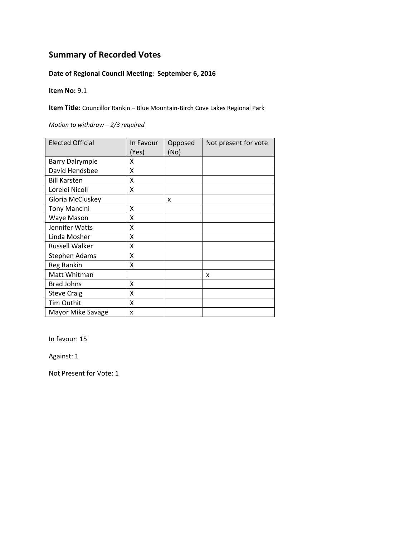## **Date of Regional Council Meeting: September 6, 2016**

**Item No:** 9.1

**Item Title:** Councillor Rankin – Blue Mountain‐Birch Cove Lakes Regional Park

*Motion to withdraw – 2/3 required*

| <b>Elected Official</b> | In Favour<br>(Yes) | Opposed<br>(No) | Not present for vote |
|-------------------------|--------------------|-----------------|----------------------|
| <b>Barry Dalrymple</b>  | χ                  |                 |                      |
| David Hendsbee          | Χ                  |                 |                      |
| <b>Bill Karsten</b>     | χ                  |                 |                      |
| Lorelei Nicoll          | x                  |                 |                      |
| Gloria McCluskey        |                    | X               |                      |
| <b>Tony Mancini</b>     | χ                  |                 |                      |
| Waye Mason              | Χ                  |                 |                      |
| Jennifer Watts          | Χ                  |                 |                      |
| Linda Mosher            | χ                  |                 |                      |
| Russell Walker          | Χ                  |                 |                      |
| <b>Stephen Adams</b>    | Χ                  |                 |                      |
| Reg Rankin              | Χ                  |                 |                      |
| Matt Whitman            |                    |                 | x                    |
| <b>Brad Johns</b>       | X                  |                 |                      |
| <b>Steve Craig</b>      | X                  |                 |                      |
| Tim Outhit              | X                  |                 |                      |
| Mayor Mike Savage       | x                  |                 |                      |

In favour: 15

Against: 1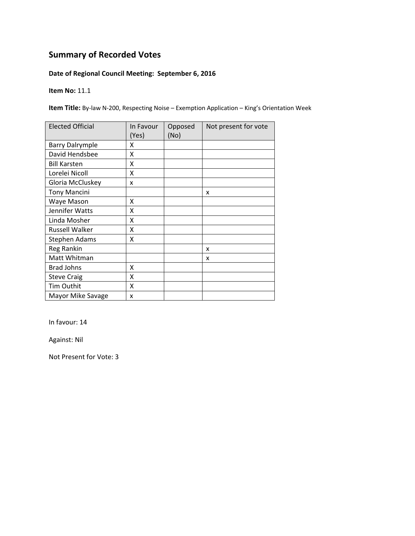## **Date of Regional Council Meeting: September 6, 2016**

**Item No:** 11.1

**Item Title:** By‐law N‐200, Respecting Noise – Exemption Application – King's Orientation Week

| <b>Elected Official</b> | In Favour<br>(Yes) | Opposed<br>(No) | Not present for vote |
|-------------------------|--------------------|-----------------|----------------------|
| <b>Barry Dalrymple</b>  | x                  |                 |                      |
| David Hendsbee          | Χ                  |                 |                      |
| <b>Bill Karsten</b>     | x                  |                 |                      |
| Lorelei Nicoll          | x                  |                 |                      |
| Gloria McCluskey        | x                  |                 |                      |
| <b>Tony Mancini</b>     |                    |                 | X                    |
| Waye Mason              | x                  |                 |                      |
| Jennifer Watts          | x                  |                 |                      |
| Linda Mosher            | x                  |                 |                      |
| Russell Walker          | Χ                  |                 |                      |
| <b>Stephen Adams</b>    | X                  |                 |                      |
| Reg Rankin              |                    |                 | x                    |
| Matt Whitman            |                    |                 | x                    |
| <b>Brad Johns</b>       | X                  |                 |                      |
| <b>Steve Craig</b>      | X                  |                 |                      |
| Tim Outhit              | X                  |                 |                      |
| Mayor Mike Savage       | X                  |                 |                      |

In favour: 14

Against: Nil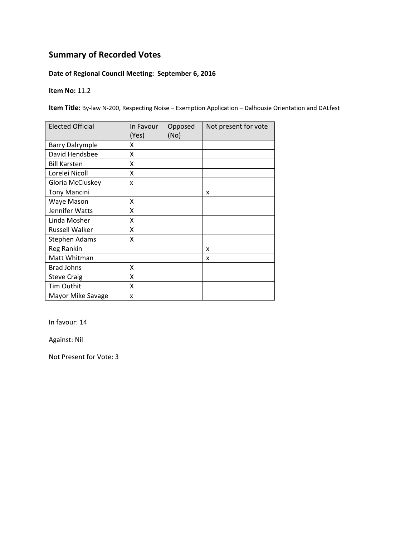## **Date of Regional Council Meeting: September 6, 2016**

**Item No:** 11.2

**Item Title:** By‐law N‐200, Respecting Noise – Exemption Application – Dalhousie Orientation and DALfest

| <b>Elected Official</b> | In Favour<br>(Yes) | Opposed<br>(No) | Not present for vote |
|-------------------------|--------------------|-----------------|----------------------|
| <b>Barry Dalrymple</b>  | x                  |                 |                      |
| David Hendsbee          | X                  |                 |                      |
| <b>Bill Karsten</b>     | x                  |                 |                      |
| Lorelei Nicoll          | Χ                  |                 |                      |
| Gloria McCluskey        | x                  |                 |                      |
| <b>Tony Mancini</b>     |                    |                 | x                    |
| Waye Mason              | X                  |                 |                      |
| Jennifer Watts          | X                  |                 |                      |
| Linda Mosher            | x                  |                 |                      |
| Russell Walker          | X                  |                 |                      |
| <b>Stephen Adams</b>    | x                  |                 |                      |
| Reg Rankin              |                    |                 | x                    |
| Matt Whitman            |                    |                 | x                    |
| <b>Brad Johns</b>       | X                  |                 |                      |
| <b>Steve Craig</b>      | X                  |                 |                      |
| Tim Outhit              | X                  |                 |                      |
| Mayor Mike Savage       | X                  |                 |                      |

In favour: 14

Against: Nil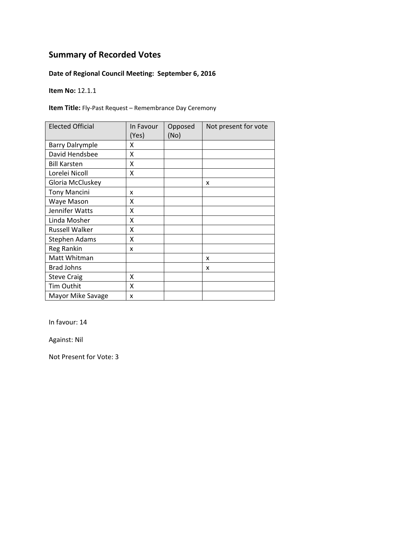## **Date of Regional Council Meeting: September 6, 2016**

**Item No:** 12.1.1

**Item Title:** Fly‐Past Request – Remembrance Day Ceremony

| <b>Elected Official</b> | In Favour<br>(Yes) | Opposed<br>(No) | Not present for vote |
|-------------------------|--------------------|-----------------|----------------------|
| <b>Barry Dalrymple</b>  | x                  |                 |                      |
| David Hendsbee          | X                  |                 |                      |
| <b>Bill Karsten</b>     | X                  |                 |                      |
| Lorelei Nicoll          | X                  |                 |                      |
| Gloria McCluskey        |                    |                 | x                    |
| <b>Tony Mancini</b>     | x                  |                 |                      |
| Waye Mason              | X                  |                 |                      |
| Jennifer Watts          | X                  |                 |                      |
| Linda Mosher            | Χ                  |                 |                      |
| <b>Russell Walker</b>   | χ                  |                 |                      |
| <b>Stephen Adams</b>    | χ                  |                 |                      |
| Reg Rankin              | x                  |                 |                      |
| Matt Whitman            |                    |                 | x                    |
| <b>Brad Johns</b>       |                    |                 | x                    |
| <b>Steve Craig</b>      | X                  |                 |                      |
| Tim Outhit              | Χ                  |                 |                      |
| Mayor Mike Savage       | x                  |                 |                      |

In favour: 14

Against: Nil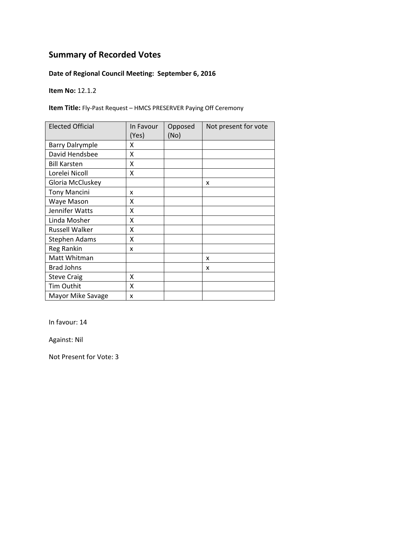## **Date of Regional Council Meeting: September 6, 2016**

**Item No:** 12.1.2

**Item Title:** Fly‐Past Request – HMCS PRESERVER Paying Off Ceremony

| <b>Elected Official</b> | In Favour<br>(Yes) | Opposed<br>(No) | Not present for vote |
|-------------------------|--------------------|-----------------|----------------------|
| <b>Barry Dalrymple</b>  | x                  |                 |                      |
| David Hendsbee          | X                  |                 |                      |
| <b>Bill Karsten</b>     | X                  |                 |                      |
| Lorelei Nicoll          | X                  |                 |                      |
| Gloria McCluskey        |                    |                 | x                    |
| <b>Tony Mancini</b>     | x                  |                 |                      |
| Waye Mason              | X                  |                 |                      |
| Jennifer Watts          | X                  |                 |                      |
| Linda Mosher            | Χ                  |                 |                      |
| <b>Russell Walker</b>   | χ                  |                 |                      |
| <b>Stephen Adams</b>    | χ                  |                 |                      |
| Reg Rankin              | x                  |                 |                      |
| Matt Whitman            |                    |                 | x                    |
| <b>Brad Johns</b>       |                    |                 | x                    |
| <b>Steve Craig</b>      | X                  |                 |                      |
| Tim Outhit              | Χ                  |                 |                      |
| Mayor Mike Savage       | x                  |                 |                      |

In favour: 14

Against: Nil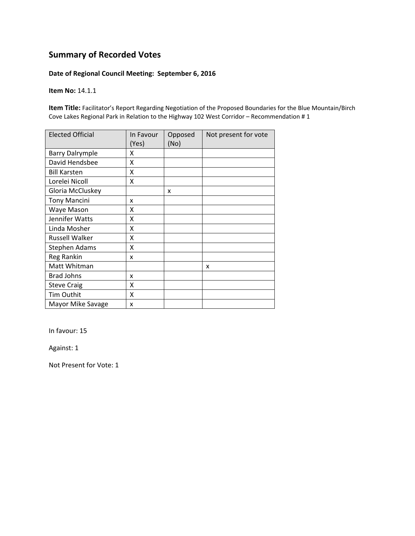#### **Date of Regional Council Meeting: September 6, 2016**

**Item No:** 14.1.1

**Item Title:** Facilitator's Report Regarding Negotiation of the Proposed Boundaries for the Blue Mountain/Birch Cove Lakes Regional Park in Relation to the Highway 102 West Corridor – Recommendation # 1

| <b>Elected Official</b> | In Favour<br>(Yes) | Opposed<br>(No) | Not present for vote |
|-------------------------|--------------------|-----------------|----------------------|
| <b>Barry Dalrymple</b>  | x                  |                 |                      |
| David Hendsbee          | X                  |                 |                      |
| <b>Bill Karsten</b>     | Χ                  |                 |                      |
| Lorelei Nicoll          | Χ                  |                 |                      |
| Gloria McCluskey        |                    | x               |                      |
| <b>Tony Mancini</b>     | x                  |                 |                      |
| Waye Mason              | x                  |                 |                      |
| Jennifer Watts          | x                  |                 |                      |
| Linda Mosher            | Χ                  |                 |                      |
| Russell Walker          | Χ                  |                 |                      |
| <b>Stephen Adams</b>    | x                  |                 |                      |
| Reg Rankin              | x                  |                 |                      |
| Matt Whitman            |                    |                 | x                    |
| <b>Brad Johns</b>       | x                  |                 |                      |
| <b>Steve Craig</b>      | X                  |                 |                      |
| Tim Outhit              | Χ                  |                 |                      |
| Mayor Mike Savage       | x                  |                 |                      |

In favour: 15

Against: 1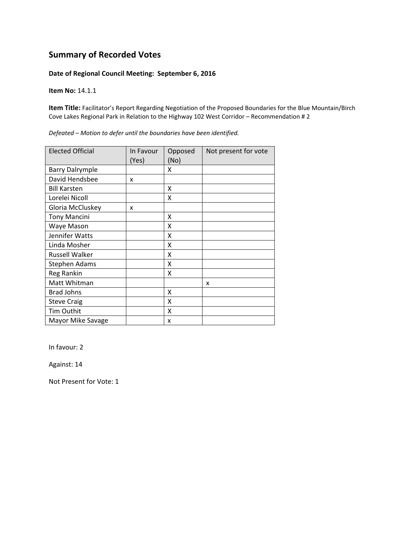#### **Date of Regional Council Meeting: September 6, 2016**

**Item No:** 14.1.1

**Item Title:** Facilitator's Report Regarding Negotiation of the Proposed Boundaries for the Blue Mountain/Birch Cove Lakes Regional Park in Relation to the Highway 102 West Corridor – Recommendation # 2

| <b>Elected Official</b> | In Favour | Opposed | Not present for vote |
|-------------------------|-----------|---------|----------------------|
|                         | (Yes)     | (No)    |                      |
| <b>Barry Dalrymple</b>  |           | x       |                      |
| David Hendsbee          | x         |         |                      |
| <b>Bill Karsten</b>     |           | Χ       |                      |
| Lorelei Nicoll          |           | Χ       |                      |
| Gloria McCluskey        | x         |         |                      |
| <b>Tony Mancini</b>     |           | x       |                      |
| Waye Mason              |           | X       |                      |
| Jennifer Watts          |           | X       |                      |
| Linda Mosher            |           | X       |                      |
| <b>Russell Walker</b>   |           | x       |                      |
| <b>Stephen Adams</b>    |           | x       |                      |
| Reg Rankin              |           | x       |                      |
| Matt Whitman            |           |         | x                    |
| <b>Brad Johns</b>       |           | X       |                      |
| <b>Steve Craig</b>      |           | X       |                      |
| Tim Outhit              |           | x       |                      |
| Mayor Mike Savage       |           | x       |                      |

*Defeated – Motion to defer until the boundaries have been identified.*

In favour: 2

Against: 14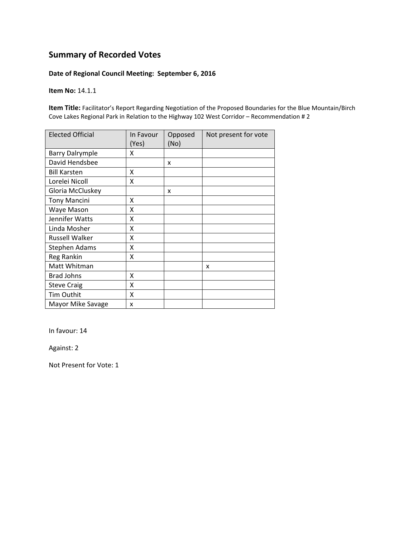#### **Date of Regional Council Meeting: September 6, 2016**

**Item No:** 14.1.1

**Item Title:** Facilitator's Report Regarding Negotiation of the Proposed Boundaries for the Blue Mountain/Birch Cove Lakes Regional Park in Relation to the Highway 102 West Corridor – Recommendation # 2

| <b>Elected Official</b> | In Favour<br>(Yes) | Opposed<br>(No) | Not present for vote |
|-------------------------|--------------------|-----------------|----------------------|
| <b>Barry Dalrymple</b>  | x                  |                 |                      |
| David Hendsbee          |                    | X               |                      |
| <b>Bill Karsten</b>     | X                  |                 |                      |
| Lorelei Nicoll          | X                  |                 |                      |
| Gloria McCluskey        |                    | x               |                      |
| <b>Tony Mancini</b>     | x                  |                 |                      |
| Waye Mason              | Χ                  |                 |                      |
| Jennifer Watts          | Χ                  |                 |                      |
| Linda Mosher            | Χ                  |                 |                      |
| <b>Russell Walker</b>   | X                  |                 |                      |
| Stephen Adams           | X                  |                 |                      |
| Reg Rankin              | X                  |                 |                      |
| Matt Whitman            |                    |                 | x                    |
| <b>Brad Johns</b>       | x                  |                 |                      |
| <b>Steve Craig</b>      | X                  |                 |                      |
| Tim Outhit              | X                  |                 |                      |
| Mayor Mike Savage       | x                  |                 |                      |

In favour: 14

Against: 2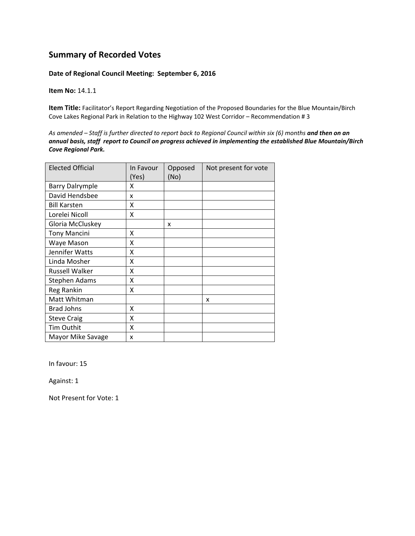#### **Date of Regional Council Meeting: September 6, 2016**

**Item No:** 14.1.1

**Item Title:** Facilitator's Report Regarding Negotiation of the Proposed Boundaries for the Blue Mountain/Birch Cove Lakes Regional Park in Relation to the Highway 102 West Corridor – Recommendation # 3

As amended - Staff is further directed to report back to Regional Council within six (6) months and then on an *annual basis, staff report to Council on progress achieved in implementing the established Blue Mountain/Birch Cove Regional Park.*

| <b>Elected Official</b> | In Favour<br>(Yes) | Opposed<br>(No) | Not present for vote |
|-------------------------|--------------------|-----------------|----------------------|
| <b>Barry Dalrymple</b>  | x                  |                 |                      |
| David Hendsbee          | x                  |                 |                      |
| <b>Bill Karsten</b>     | x                  |                 |                      |
| Lorelei Nicoll          | X                  |                 |                      |
| Gloria McCluskey        |                    | X               |                      |
| <b>Tony Mancini</b>     | x                  |                 |                      |
| Waye Mason              | X                  |                 |                      |
| Jennifer Watts          | X                  |                 |                      |
| Linda Mosher            | X                  |                 |                      |
| <b>Russell Walker</b>   | X                  |                 |                      |
| Stephen Adams           | X                  |                 |                      |
| Reg Rankin              | X                  |                 |                      |
| Matt Whitman            |                    |                 | x                    |
| <b>Brad Johns</b>       | x                  |                 |                      |
| <b>Steve Craig</b>      | x                  |                 |                      |
| Tim Outhit              | X                  |                 |                      |
| Mayor Mike Savage       | x                  |                 |                      |

In favour: 15

Against: 1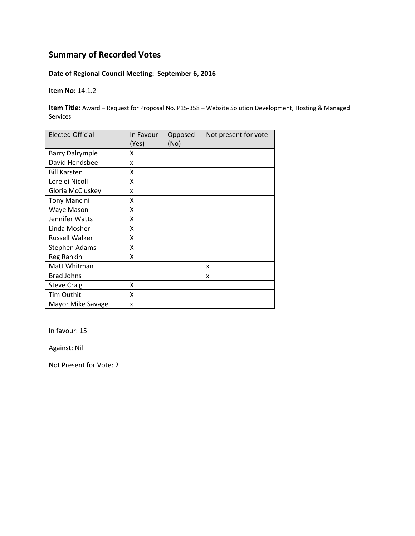## **Date of Regional Council Meeting: September 6, 2016**

**Item No:** 14.1.2

**Item Title:** Award – Request for Proposal No. P15‐358 – Website Solution Development, Hosting & Managed Services

| <b>Elected Official</b> | In Favour<br>(Yes) | Opposed<br>(No) | Not present for vote |
|-------------------------|--------------------|-----------------|----------------------|
| <b>Barry Dalrymple</b>  | x                  |                 |                      |
| David Hendsbee          | x                  |                 |                      |
| <b>Bill Karsten</b>     | Χ                  |                 |                      |
| Lorelei Nicoll          | Χ                  |                 |                      |
| Gloria McCluskey        | x                  |                 |                      |
| <b>Tony Mancini</b>     | x                  |                 |                      |
| Waye Mason              | Χ                  |                 |                      |
| Jennifer Watts          | X                  |                 |                      |
| Linda Mosher            | Χ                  |                 |                      |
| <b>Russell Walker</b>   | X                  |                 |                      |
| Stephen Adams           | X                  |                 |                      |
| Reg Rankin              | x                  |                 |                      |
| Matt Whitman            |                    |                 | x                    |
| <b>Brad Johns</b>       |                    |                 | x                    |
| <b>Steve Craig</b>      | Χ                  |                 |                      |
| Tim Outhit              | Χ                  |                 |                      |
| Mayor Mike Savage       | x                  |                 |                      |

In favour: 15

Against: Nil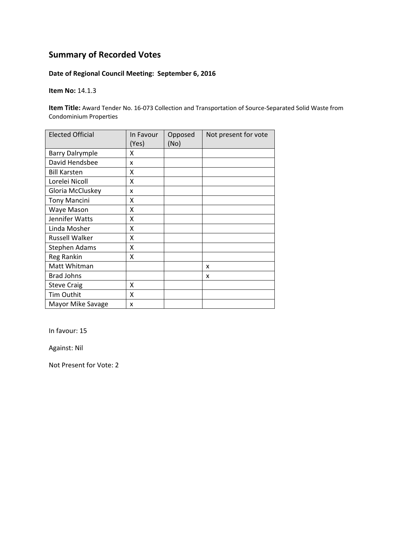## **Date of Regional Council Meeting: September 6, 2016**

**Item No:** 14.1.3

**Item Title:** Award Tender No. 16‐073 Collection and Transportation of Source‐Separated Solid Waste from Condominium Properties

| <b>Elected Official</b> | In Favour<br>(Yes) | Opposed<br>(No) | Not present for vote |
|-------------------------|--------------------|-----------------|----------------------|
| <b>Barry Dalrymple</b>  | x                  |                 |                      |
| David Hendsbee          | x                  |                 |                      |
| <b>Bill Karsten</b>     | x                  |                 |                      |
| Lorelei Nicoll          | Χ                  |                 |                      |
| Gloria McCluskey        | x                  |                 |                      |
| <b>Tony Mancini</b>     | X                  |                 |                      |
| Waye Mason              | X                  |                 |                      |
| Jennifer Watts          | X                  |                 |                      |
| Linda Mosher            | X                  |                 |                      |
| Russell Walker          | X                  |                 |                      |
| <b>Stephen Adams</b>    | Χ                  |                 |                      |
| Reg Rankin              | Χ                  |                 |                      |
| Matt Whitman            |                    |                 | x                    |
| <b>Brad Johns</b>       |                    |                 | x                    |
| <b>Steve Craig</b>      | X                  |                 |                      |
| Tim Outhit              | X                  |                 |                      |
| Mayor Mike Savage       | x                  |                 |                      |

In favour: 15

Against: Nil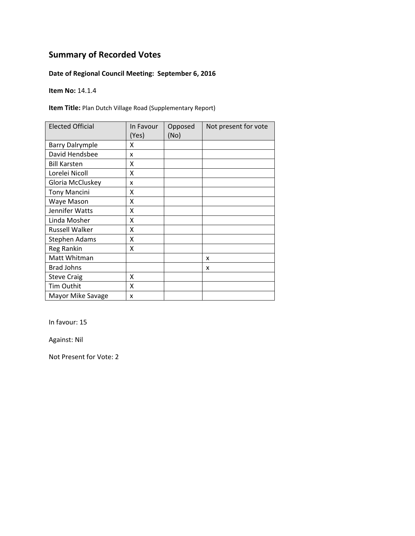## **Date of Regional Council Meeting: September 6, 2016**

**Item No:** 14.1.4

**Item Title:** Plan Dutch Village Road (Supplementary Report)

| <b>Elected Official</b> | In Favour<br>(Yes) | Opposed<br>(No) | Not present for vote |
|-------------------------|--------------------|-----------------|----------------------|
| <b>Barry Dalrymple</b>  | x                  |                 |                      |
| David Hendsbee          | x                  |                 |                      |
| <b>Bill Karsten</b>     | x                  |                 |                      |
| Lorelei Nicoll          | x                  |                 |                      |
| Gloria McCluskey        | x                  |                 |                      |
| <b>Tony Mancini</b>     | x                  |                 |                      |
| Waye Mason              | x                  |                 |                      |
| Jennifer Watts          | X                  |                 |                      |
| Linda Mosher            | x                  |                 |                      |
| Russell Walker          | Χ                  |                 |                      |
| <b>Stephen Adams</b>    | X                  |                 |                      |
| Reg Rankin              | X                  |                 |                      |
| Matt Whitman            |                    |                 | x                    |
| <b>Brad Johns</b>       |                    |                 | x                    |
| <b>Steve Craig</b>      | x                  |                 |                      |
| Tim Outhit              | X                  |                 |                      |
| Mayor Mike Savage       | X                  |                 |                      |

In favour: 15

Against: Nil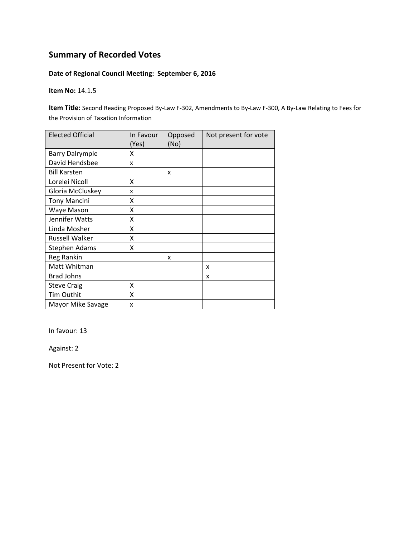## **Date of Regional Council Meeting: September 6, 2016**

**Item No:** 14.1.5

**Item Title:** Second Reading Proposed By‐Law F‐302, Amendments to By‐Law F‐300, A By‐Law Relating to Fees for the Provision of Taxation Information

| <b>Elected Official</b> | In Favour<br>(Yes) | Opposed<br>(No) | Not present for vote |
|-------------------------|--------------------|-----------------|----------------------|
| <b>Barry Dalrymple</b>  | x                  |                 |                      |
| David Hendsbee          | x                  |                 |                      |
| <b>Bill Karsten</b>     |                    | x               |                      |
| Lorelei Nicoll          | x                  |                 |                      |
| Gloria McCluskey        | x                  |                 |                      |
| <b>Tony Mancini</b>     | χ                  |                 |                      |
| Waye Mason              | Χ                  |                 |                      |
| Jennifer Watts          | Χ                  |                 |                      |
| Linda Mosher            | Χ                  |                 |                      |
| <b>Russell Walker</b>   | Χ                  |                 |                      |
| <b>Stephen Adams</b>    | χ                  |                 |                      |
| Reg Rankin              |                    | x               |                      |
| Matt Whitman            |                    |                 | x                    |
| <b>Brad Johns</b>       |                    |                 | x                    |
| <b>Steve Craig</b>      | X                  |                 |                      |
| Tim Outhit              | X                  |                 |                      |
| Mayor Mike Savage       | x                  |                 |                      |

In favour: 13

Against: 2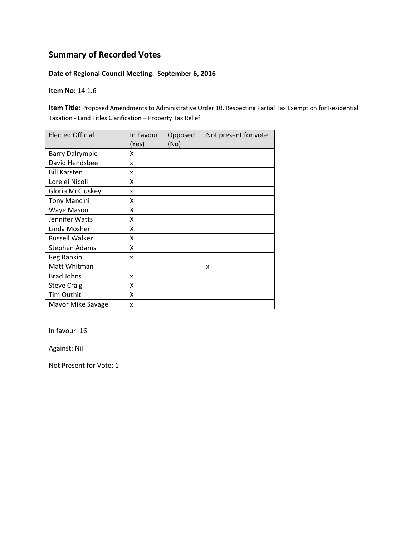#### **Date of Regional Council Meeting: September 6, 2016**

**Item No:** 14.1.6

**Item Title:** Proposed Amendments to Administrative Order 10, Respecting Partial Tax Exemption for Residential Taxation ‐ Land Titles Clarification – Property Tax Relief

| <b>Elected Official</b> | In Favour<br>(Yes) | Opposed<br>(No) | Not present for vote |
|-------------------------|--------------------|-----------------|----------------------|
| <b>Barry Dalrymple</b>  | x                  |                 |                      |
| David Hendsbee          | x                  |                 |                      |
| <b>Bill Karsten</b>     | x                  |                 |                      |
| Lorelei Nicoll          | x                  |                 |                      |
| Gloria McCluskey        | x                  |                 |                      |
| <b>Tony Mancini</b>     | x                  |                 |                      |
| Waye Mason              | x                  |                 |                      |
| Jennifer Watts          | X                  |                 |                      |
| Linda Mosher            | Χ                  |                 |                      |
| Russell Walker          | X                  |                 |                      |
| Stephen Adams           | x                  |                 |                      |
| Reg Rankin              | x                  |                 |                      |
| Matt Whitman            |                    |                 | x                    |
| <b>Brad Johns</b>       | x                  |                 |                      |
| <b>Steve Craig</b>      | X                  |                 |                      |
| Tim Outhit              | X                  |                 |                      |
| Mayor Mike Savage       | x                  |                 |                      |

In favour: 16

Against: Nil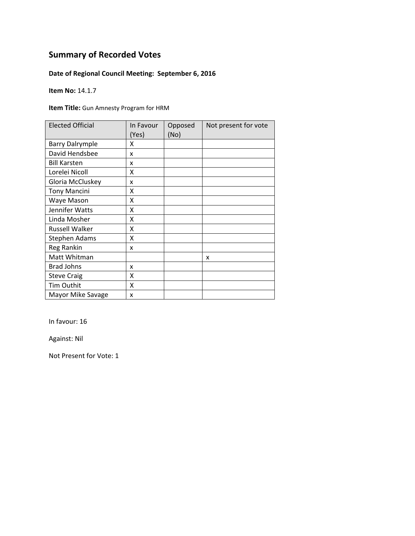## **Date of Regional Council Meeting: September 6, 2016**

**Item No:** 14.1.7

**Item Title:** Gun Amnesty Program for HRM

| <b>Elected Official</b> | In Favour<br>(Yes) | Opposed<br>(No) | Not present for vote |
|-------------------------|--------------------|-----------------|----------------------|
| <b>Barry Dalrymple</b>  | x                  |                 |                      |
| David Hendsbee          | X                  |                 |                      |
| <b>Bill Karsten</b>     | x                  |                 |                      |
| Lorelei Nicoll          | x                  |                 |                      |
| Gloria McCluskey        | x                  |                 |                      |
| <b>Tony Mancini</b>     | x                  |                 |                      |
| Waye Mason              | Χ                  |                 |                      |
| Jennifer Watts          | x                  |                 |                      |
| Linda Mosher            | x                  |                 |                      |
| <b>Russell Walker</b>   | χ                  |                 |                      |
| <b>Stephen Adams</b>    | X                  |                 |                      |
| Reg Rankin              | x                  |                 |                      |
| Matt Whitman            |                    |                 | x                    |
| <b>Brad Johns</b>       | x                  |                 |                      |
| <b>Steve Craig</b>      | Χ                  |                 |                      |
| <b>Tim Outhit</b>       | X                  |                 |                      |
| Mayor Mike Savage       | X                  |                 |                      |

In favour: 16

Against: Nil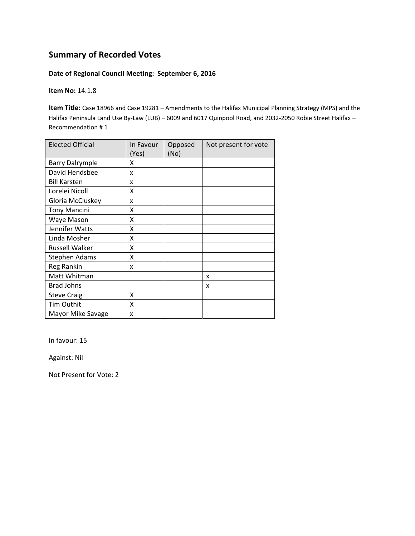#### **Date of Regional Council Meeting: September 6, 2016**

**Item No:** 14.1.8

**Item Title:** Case 18966 and Case 19281 – Amendments to the Halifax Municipal Planning Strategy (MPS) and the Halifax Peninsula Land Use By‐Law (LUB) – 6009 and 6017 Quinpool Road, and 2032‐2050 Robie Street Halifax – Recommendation # 1

| <b>Elected Official</b> | In Favour<br>(Yes) | Opposed<br>(No) | Not present for vote |
|-------------------------|--------------------|-----------------|----------------------|
| <b>Barry Dalrymple</b>  | х                  |                 |                      |
| David Hendsbee          | x                  |                 |                      |
| <b>Bill Karsten</b>     | x                  |                 |                      |
| Lorelei Nicoll          | x                  |                 |                      |
| Gloria McCluskey        | x                  |                 |                      |
| <b>Tony Mancini</b>     | X                  |                 |                      |
| Waye Mason              | X                  |                 |                      |
| Jennifer Watts          | X                  |                 |                      |
| Linda Mosher            | X                  |                 |                      |
| <b>Russell Walker</b>   | Χ                  |                 |                      |
| Stephen Adams           | x                  |                 |                      |
| Reg Rankin              | x                  |                 |                      |
| Matt Whitman            |                    |                 | x                    |
| <b>Brad Johns</b>       |                    |                 | x                    |
| <b>Steve Craig</b>      | x                  |                 |                      |
| Tim Outhit              | X                  |                 |                      |
| Mayor Mike Savage       | x                  |                 |                      |

In favour: 15

Against: Nil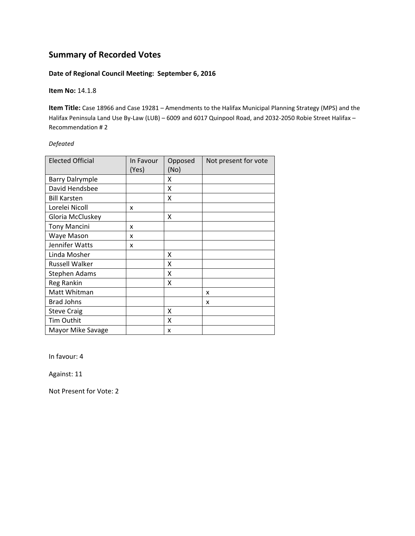#### **Date of Regional Council Meeting: September 6, 2016**

#### **Item No:** 14.1.8

**Item Title:** Case 18966 and Case 19281 – Amendments to the Halifax Municipal Planning Strategy (MPS) and the Halifax Peninsula Land Use By‐Law (LUB) – 6009 and 6017 Quinpool Road, and 2032‐2050 Robie Street Halifax – Recommendation # 2

#### *Defeated*

| <b>Elected Official</b> | In Favour<br>(Yes) | Opposed<br>(No) | Not present for vote |
|-------------------------|--------------------|-----------------|----------------------|
| <b>Barry Dalrymple</b>  |                    | x               |                      |
| David Hendsbee          |                    | X               |                      |
| <b>Bill Karsten</b>     |                    | X               |                      |
| Lorelei Nicoll          | x                  |                 |                      |
| Gloria McCluskey        |                    | X               |                      |
| <b>Tony Mancini</b>     | x                  |                 |                      |
| Waye Mason              | x                  |                 |                      |
| Jennifer Watts          | x                  |                 |                      |
| Linda Mosher            |                    | x               |                      |
| <b>Russell Walker</b>   |                    | x               |                      |
| Stephen Adams           |                    | x               |                      |
| Reg Rankin              |                    | χ               |                      |
| Matt Whitman            |                    |                 | X                    |
| <b>Brad Johns</b>       |                    |                 | x                    |
| <b>Steve Craig</b>      |                    | X               |                      |
| Tim Outhit              |                    | x               |                      |
| Mayor Mike Savage       |                    | x               |                      |

In favour: 4

Against: 11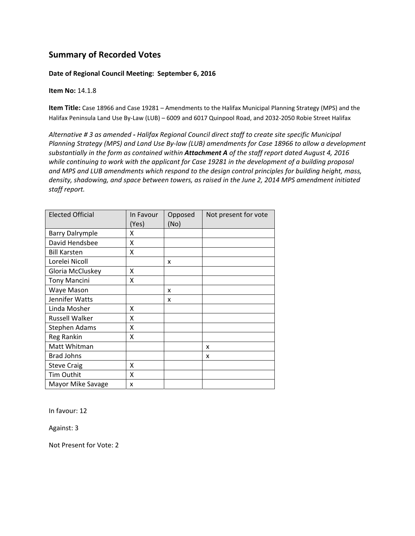#### **Date of Regional Council Meeting: September 6, 2016**

**Item No:** 14.1.8

**Item Title:** Case 18966 and Case 19281 – Amendments to the Halifax Municipal Planning Strategy (MPS) and the Halifax Peninsula Land Use By‐Law (LUB) – 6009 and 6017 Quinpool Road, and 2032‐2050 Robie Street Halifax

*Alternative # 3 as amended ‐ Halifax Regional Council direct staff to create site specific Municipal Planning Strategy (MPS) and Land Use By‐law (LUB) amendments for Case 18966 to allow a development substantially in the form as contained within Attachment A of the staff report dated August 4, 2016 while continuing to work with the applicant for Case 19281 in the development of a building proposal and MPS and LUB amendments which respond to the design control principles for building height, mass, density, shadowing, and space between towers, as raised in the June 2, 2014 MPS amendment initiated staff report.* 

| <b>Elected Official</b> | In Favour<br>(Yes) | Opposed<br>(No) | Not present for vote |
|-------------------------|--------------------|-----------------|----------------------|
| <b>Barry Dalrymple</b>  | x                  |                 |                      |
| David Hendsbee          | X                  |                 |                      |
| <b>Bill Karsten</b>     | Χ                  |                 |                      |
| Lorelei Nicoll          |                    | x               |                      |
| Gloria McCluskey        | Χ                  |                 |                      |
| <b>Tony Mancini</b>     | Χ                  |                 |                      |
| Waye Mason              |                    | X               |                      |
| Jennifer Watts          |                    | X               |                      |
| Linda Mosher            | Χ                  |                 |                      |
| <b>Russell Walker</b>   | X                  |                 |                      |
| <b>Stephen Adams</b>    | x                  |                 |                      |
| Reg Rankin              | Χ                  |                 |                      |
| Matt Whitman            |                    |                 | x                    |
| <b>Brad Johns</b>       |                    |                 | x                    |
| <b>Steve Craig</b>      | x                  |                 |                      |
| Tim Outhit              | X                  |                 |                      |
| Mayor Mike Savage       | x                  |                 |                      |

In favour: 12

Against: 3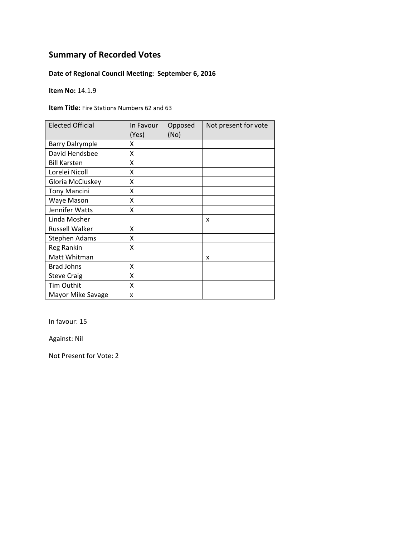## **Date of Regional Council Meeting: September 6, 2016**

**Item No:** 14.1.9

**Item Title:** Fire Stations Numbers 62 and 63

| <b>Elected Official</b> | In Favour<br>(Yes) | Opposed<br>(No) | Not present for vote |
|-------------------------|--------------------|-----------------|----------------------|
| <b>Barry Dalrymple</b>  | x                  |                 |                      |
| David Hendsbee          | X                  |                 |                      |
| <b>Bill Karsten</b>     | x                  |                 |                      |
| Lorelei Nicoll          | X                  |                 |                      |
| Gloria McCluskey        | Χ                  |                 |                      |
| <b>Tony Mancini</b>     | Χ                  |                 |                      |
| Waye Mason              | Χ                  |                 |                      |
| Jennifer Watts          | x                  |                 |                      |
| Linda Mosher            |                    |                 | x                    |
| <b>Russell Walker</b>   | x                  |                 |                      |
| <b>Stephen Adams</b>    | X                  |                 |                      |
| Reg Rankin              | X                  |                 |                      |
| Matt Whitman            |                    |                 | x                    |
| <b>Brad Johns</b>       | X                  |                 |                      |
| <b>Steve Craig</b>      | Χ                  |                 |                      |
| <b>Tim Outhit</b>       | X                  |                 |                      |
| Mayor Mike Savage       | X                  |                 |                      |

In favour: 15

Against: Nil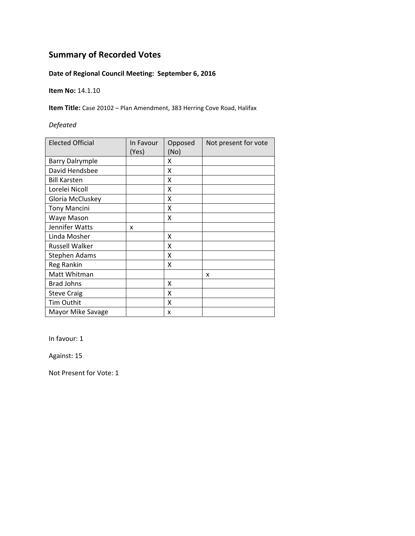## **Date of Regional Council Meeting: September 6, 2016**

**Item No:** 14.1.10

**Item Title:** Case 20102 – Plan Amendment, 383 Herring Cove Road, Halifax

#### *Defeated*

| <b>Elected Official</b> | In Favour<br>(Yes) | Opposed<br>(No) | Not present for vote |
|-------------------------|--------------------|-----------------|----------------------|
| <b>Barry Dalrymple</b>  |                    | X               |                      |
| David Hendsbee          |                    | X               |                      |
| <b>Bill Karsten</b>     |                    | X               |                      |
| Lorelei Nicoll          |                    | X               |                      |
| Gloria McCluskey        |                    | X               |                      |
| <b>Tony Mancini</b>     |                    | X               |                      |
| Waye Mason              |                    | x               |                      |
| Jennifer Watts          | X                  |                 |                      |
| Linda Mosher            |                    | x               |                      |
| Russell Walker          |                    | x               |                      |
| <b>Stephen Adams</b>    |                    | X               |                      |
| Reg Rankin              |                    | x               |                      |
| Matt Whitman            |                    |                 | x                    |
| <b>Brad Johns</b>       |                    | x               |                      |
| <b>Steve Craig</b>      |                    | X               |                      |
| Tim Outhit              |                    | X               |                      |
| Mayor Mike Savage       |                    | x               |                      |

In favour: 1

Against: 15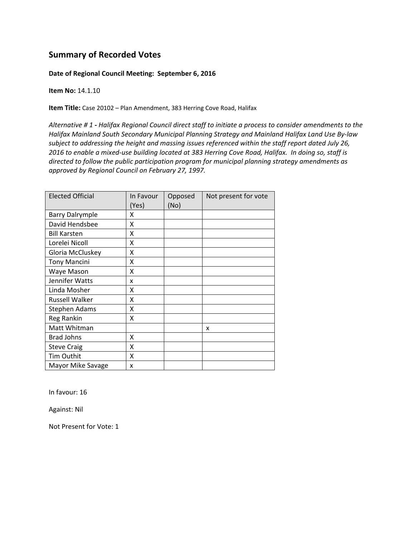#### **Date of Regional Council Meeting: September 6, 2016**

**Item No:** 14.1.10

**Item Title:** Case 20102 – Plan Amendment, 383 Herring Cove Road, Halifax

Alternative #1 - Halifax Regional Council direct staff to initiate a process to consider amendments to the *Halifax Mainland South Secondary Municipal Planning Strategy and Mainland Halifax Land Use By‐law subject to addressing the height and massing issues referenced within the staff report dated July 26,* 2016 to enable a mixed-use building located at 383 Herring Cove Road, Halifax. In doing so, staff is *directed to follow the public participation program for municipal planning strategy amendments as approved by Regional Council on February 27, 1997.*

| <b>Elected Official</b> | In Favour<br>(Yes) | Opposed<br>(No) | Not present for vote |
|-------------------------|--------------------|-----------------|----------------------|
| <b>Barry Dalrymple</b>  | x                  |                 |                      |
| David Hendsbee          | X                  |                 |                      |
| <b>Bill Karsten</b>     | X                  |                 |                      |
| Lorelei Nicoll          | x                  |                 |                      |
| Gloria McCluskey        | x                  |                 |                      |
| <b>Tony Mancini</b>     | X                  |                 |                      |
| Waye Mason              | x                  |                 |                      |
| Jennifer Watts          | x                  |                 |                      |
| Linda Mosher            | x                  |                 |                      |
| <b>Russell Walker</b>   | Χ                  |                 |                      |
| <b>Stephen Adams</b>    | X                  |                 |                      |
| Reg Rankin              | x                  |                 |                      |
| Matt Whitman            |                    |                 | x                    |
| Brad Johns              | x                  |                 |                      |
| <b>Steve Craig</b>      | x                  |                 |                      |
| Tim Outhit              | x                  |                 |                      |
| Mayor Mike Savage       | x                  |                 |                      |

In favour: 16

Against: Nil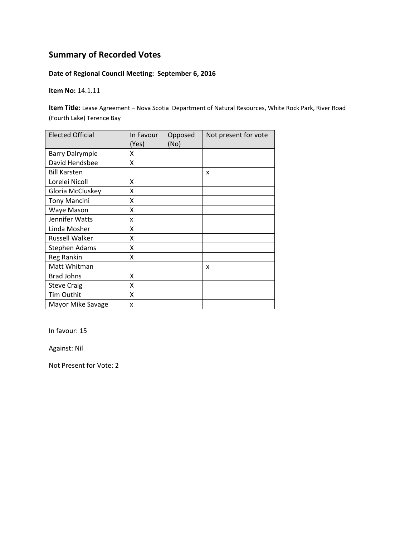## **Date of Regional Council Meeting: September 6, 2016**

**Item No:** 14.1.11

**Item Title:** Lease Agreement – Nova Scotia Department of Natural Resources, White Rock Park, River Road (Fourth Lake) Terence Bay

| <b>Elected Official</b> | In Favour<br>(Yes) | Opposed<br>(No) | Not present for vote |
|-------------------------|--------------------|-----------------|----------------------|
| <b>Barry Dalrymple</b>  | x                  |                 |                      |
| David Hendsbee          | x                  |                 |                      |
| <b>Bill Karsten</b>     |                    |                 | X                    |
| Lorelei Nicoll          | Χ                  |                 |                      |
| Gloria McCluskey        | X                  |                 |                      |
| <b>Tony Mancini</b>     | Χ                  |                 |                      |
| Waye Mason              | Χ                  |                 |                      |
| Jennifer Watts          | x                  |                 |                      |
| Linda Mosher            | X                  |                 |                      |
| <b>Russell Walker</b>   | Χ                  |                 |                      |
| <b>Stephen Adams</b>    | Χ                  |                 |                      |
| Reg Rankin              | Χ                  |                 |                      |
| Matt Whitman            |                    |                 | x                    |
| <b>Brad Johns</b>       | X                  |                 |                      |
| <b>Steve Craig</b>      | X                  |                 |                      |
| Tim Outhit              | X                  |                 |                      |
| Mayor Mike Savage       | x                  |                 |                      |

In favour: 15

Against: Nil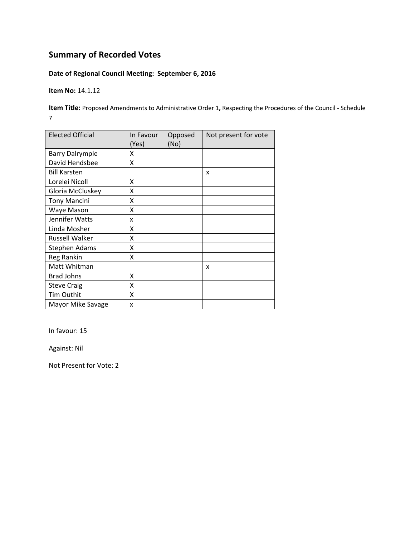## **Date of Regional Council Meeting: September 6, 2016**

**Item No:** 14.1.12

**Item Title:** Proposed Amendments to Administrative Order 1**,** Respecting the Procedures of the Council ‐ Schedule 7

| <b>Elected Official</b> | In Favour<br>(Yes) | Opposed<br>(No) | Not present for vote |
|-------------------------|--------------------|-----------------|----------------------|
| <b>Barry Dalrymple</b>  | x                  |                 |                      |
| David Hendsbee          | Χ                  |                 |                      |
| <b>Bill Karsten</b>     |                    |                 | X                    |
| Lorelei Nicoll          | x                  |                 |                      |
| Gloria McCluskey        | Χ                  |                 |                      |
| <b>Tony Mancini</b>     | X                  |                 |                      |
| Waye Mason              | X                  |                 |                      |
| Jennifer Watts          | x                  |                 |                      |
| Linda Mosher            | x                  |                 |                      |
| <b>Russell Walker</b>   | Χ                  |                 |                      |
| <b>Stephen Adams</b>    | x                  |                 |                      |
| Reg Rankin              | Χ                  |                 |                      |
| Matt Whitman            |                    |                 | x                    |
| <b>Brad Johns</b>       | Χ                  |                 |                      |
| <b>Steve Craig</b>      | X                  |                 |                      |
| Tim Outhit              | X                  |                 |                      |
| Mayor Mike Savage       | x                  |                 |                      |

In favour: 15

Against: Nil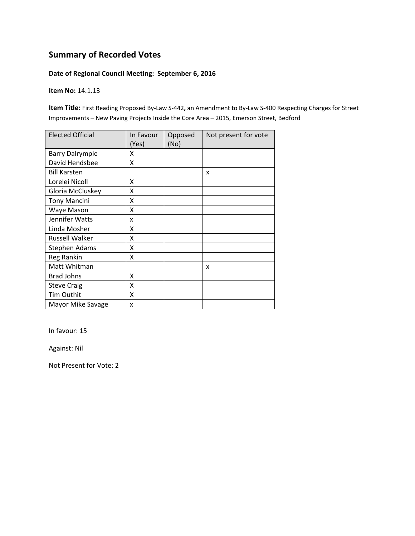#### **Date of Regional Council Meeting: September 6, 2016**

#### **Item No:** 14.1.13

**Item Title:** First Reading Proposed By‐Law S‐442**,** an Amendment to By‐Law S‐400 Respecting Charges for Street Improvements – New Paving Projects Inside the Core Area – 2015, Emerson Street, Bedford

| <b>Elected Official</b> | In Favour<br>(Yes) | Opposed<br>(No) | Not present for vote |
|-------------------------|--------------------|-----------------|----------------------|
| <b>Barry Dalrymple</b>  | x                  |                 |                      |
| David Hendsbee          | Χ                  |                 |                      |
| <b>Bill Karsten</b>     |                    |                 | X                    |
| Lorelei Nicoll          | x                  |                 |                      |
| Gloria McCluskey        | Χ                  |                 |                      |
| <b>Tony Mancini</b>     | X                  |                 |                      |
| Waye Mason              | X                  |                 |                      |
| Jennifer Watts          | x                  |                 |                      |
| Linda Mosher            | x                  |                 |                      |
| <b>Russell Walker</b>   | Χ                  |                 |                      |
| <b>Stephen Adams</b>    | x                  |                 |                      |
| Reg Rankin              | Χ                  |                 |                      |
| Matt Whitman            |                    |                 | x                    |
| <b>Brad Johns</b>       | Χ                  |                 |                      |
| <b>Steve Craig</b>      | X                  |                 |                      |
| Tim Outhit              | X                  |                 |                      |
| Mayor Mike Savage       | x                  |                 |                      |

In favour: 15

Against: Nil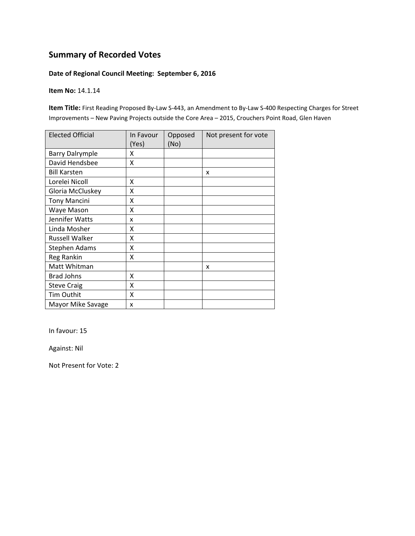#### **Date of Regional Council Meeting: September 6, 2016**

#### **Item No:** 14.1.14

**Item Title:** First Reading Proposed By‐Law S‐443, an Amendment to By‐Law S‐400 Respecting Charges for Street Improvements – New Paving Projects outside the Core Area – 2015, Crouchers Point Road, Glen Haven

| <b>Elected Official</b> | In Favour<br>(Yes) | Opposed<br>(No) | Not present for vote |
|-------------------------|--------------------|-----------------|----------------------|
| <b>Barry Dalrymple</b>  | x                  |                 |                      |
| David Hendsbee          | x                  |                 |                      |
| <b>Bill Karsten</b>     |                    |                 | X                    |
| Lorelei Nicoll          | Χ                  |                 |                      |
| Gloria McCluskey        | X                  |                 |                      |
| <b>Tony Mancini</b>     | Χ                  |                 |                      |
| Waye Mason              | Χ                  |                 |                      |
| Jennifer Watts          | x                  |                 |                      |
| Linda Mosher            | X                  |                 |                      |
| <b>Russell Walker</b>   | Χ                  |                 |                      |
| <b>Stephen Adams</b>    | Χ                  |                 |                      |
| Reg Rankin              | Χ                  |                 |                      |
| Matt Whitman            |                    |                 | x                    |
| <b>Brad Johns</b>       | X                  |                 |                      |
| <b>Steve Craig</b>      | X                  |                 |                      |
| Tim Outhit              | X                  |                 |                      |
| Mayor Mike Savage       | x                  |                 |                      |

In favour: 15

Against: Nil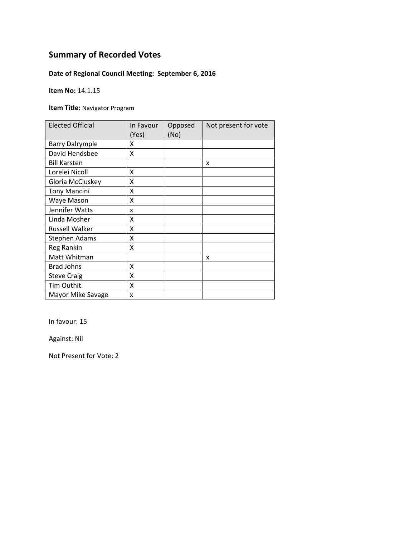## **Date of Regional Council Meeting: September 6, 2016**

**Item No:** 14.1.15

**Item Title:** Navigator Program

| <b>Elected Official</b> | In Favour<br>(Yes) | Opposed<br>(No) | Not present for vote |
|-------------------------|--------------------|-----------------|----------------------|
| <b>Barry Dalrymple</b>  | x                  |                 |                      |
| David Hendsbee          | X                  |                 |                      |
| <b>Bill Karsten</b>     |                    |                 | X                    |
| Lorelei Nicoll          | X                  |                 |                      |
| Gloria McCluskey        | Χ                  |                 |                      |
| <b>Tony Mancini</b>     | Χ                  |                 |                      |
| Waye Mason              | Χ                  |                 |                      |
| Jennifer Watts          | x                  |                 |                      |
| Linda Mosher            | Χ                  |                 |                      |
| <b>Russell Walker</b>   | x                  |                 |                      |
| <b>Stephen Adams</b>    | Χ                  |                 |                      |
| Reg Rankin              | X                  |                 |                      |
| Matt Whitman            |                    |                 | x                    |
| <b>Brad Johns</b>       | X                  |                 |                      |
| <b>Steve Craig</b>      | Χ                  |                 |                      |
| Tim Outhit              | X                  |                 |                      |
| Mayor Mike Savage       | X                  |                 |                      |

In favour: 15

Against: Nil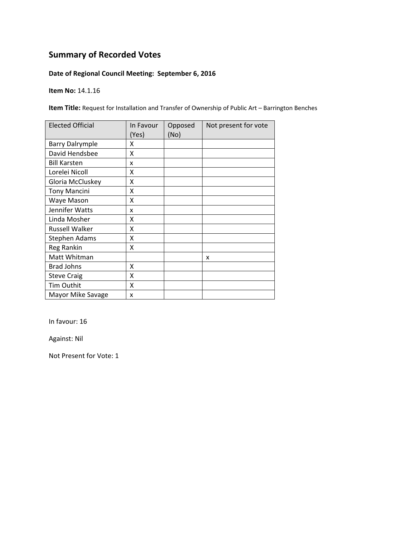## **Date of Regional Council Meeting: September 6, 2016**

**Item No:** 14.1.16

**Item Title:** Request for Installation and Transfer of Ownership of Public Art – Barrington Benches

| <b>Elected Official</b> | In Favour<br>(Yes) | Opposed<br>(No) | Not present for vote |
|-------------------------|--------------------|-----------------|----------------------|
| <b>Barry Dalrymple</b>  | χ                  |                 |                      |
| David Hendsbee          | Χ                  |                 |                      |
| <b>Bill Karsten</b>     | x                  |                 |                      |
| Lorelei Nicoll          | x                  |                 |                      |
| Gloria McCluskey        | Χ                  |                 |                      |
| <b>Tony Mancini</b>     | Χ                  |                 |                      |
| Waye Mason              | Χ                  |                 |                      |
| Jennifer Watts          | x                  |                 |                      |
| Linda Mosher            | χ                  |                 |                      |
| Russell Walker          | X                  |                 |                      |
| <b>Stephen Adams</b>    | X                  |                 |                      |
| Reg Rankin              | Χ                  |                 |                      |
| Matt Whitman            |                    |                 | x                    |
| <b>Brad Johns</b>       | X                  |                 |                      |
| <b>Steve Craig</b>      | X                  |                 |                      |
| Tim Outhit              | X                  |                 |                      |
| Mayor Mike Savage       | X                  |                 |                      |

In favour: 16

Against: Nil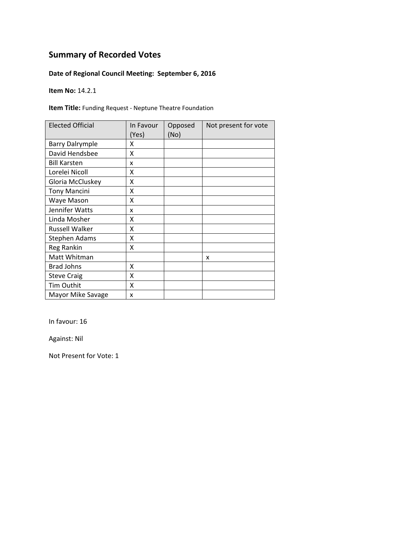## **Date of Regional Council Meeting: September 6, 2016**

**Item No:** 14.2.1

**Item Title:** Funding Request ‐ Neptune Theatre Foundation

| <b>Elected Official</b> | In Favour<br>(Yes) | Opposed<br>(No) | Not present for vote |
|-------------------------|--------------------|-----------------|----------------------|
| <b>Barry Dalrymple</b>  | x                  |                 |                      |
| David Hendsbee          | X                  |                 |                      |
| <b>Bill Karsten</b>     | x                  |                 |                      |
| Lorelei Nicoll          | x                  |                 |                      |
| Gloria McCluskey        | Χ                  |                 |                      |
| <b>Tony Mancini</b>     | Χ                  |                 |                      |
| Waye Mason              | Χ                  |                 |                      |
| Jennifer Watts          | x                  |                 |                      |
| Linda Mosher            | x                  |                 |                      |
| <b>Russell Walker</b>   | χ                  |                 |                      |
| <b>Stephen Adams</b>    | X                  |                 |                      |
| Reg Rankin              | X                  |                 |                      |
| Matt Whitman            |                    |                 | x                    |
| <b>Brad Johns</b>       | X                  |                 |                      |
| <b>Steve Craig</b>      | Χ                  |                 |                      |
| <b>Tim Outhit</b>       | X                  |                 |                      |
| Mayor Mike Savage       | X                  |                 |                      |

In favour: 16

Against: Nil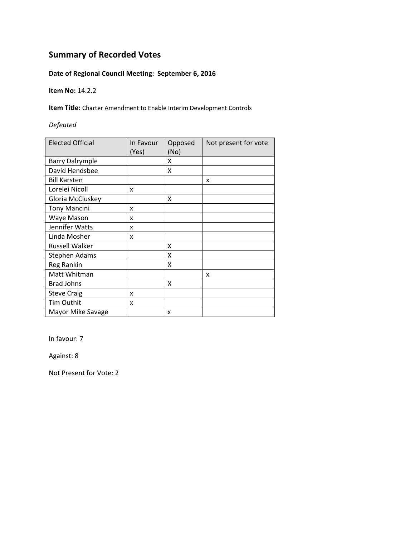## **Date of Regional Council Meeting: September 6, 2016**

**Item No:** 14.2.2

**Item Title:** Charter Amendment to Enable Interim Development Controls

#### *Defeated*

| <b>Elected Official</b> | In Favour<br>(Yes) | Opposed<br>(No) | Not present for vote |
|-------------------------|--------------------|-----------------|----------------------|
| <b>Barry Dalrymple</b>  |                    | X               |                      |
| David Hendsbee          |                    | X               |                      |
| <b>Bill Karsten</b>     |                    |                 | X                    |
| Lorelei Nicoll          | X                  |                 |                      |
| Gloria McCluskey        |                    | x               |                      |
| <b>Tony Mancini</b>     | x                  |                 |                      |
| Waye Mason              | x                  |                 |                      |
| Jennifer Watts          | x                  |                 |                      |
| Linda Mosher            | x                  |                 |                      |
| <b>Russell Walker</b>   |                    | X               |                      |
| <b>Stephen Adams</b>    |                    | X               |                      |
| Reg Rankin              |                    | X               |                      |
| Matt Whitman            |                    |                 | X                    |
| <b>Brad Johns</b>       |                    | X               |                      |
| <b>Steve Craig</b>      | x                  |                 |                      |
| Tim Outhit              | x                  |                 |                      |
| Mayor Mike Savage       |                    | x               |                      |

In favour: 7

Against: 8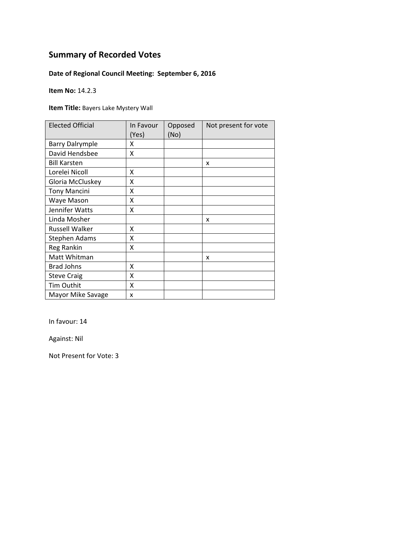## **Date of Regional Council Meeting: September 6, 2016**

**Item No:** 14.2.3

**Item Title:** Bayers Lake Mystery Wall

| <b>Elected Official</b> | In Favour<br>(Yes) | Opposed<br>(No) | Not present for vote |
|-------------------------|--------------------|-----------------|----------------------|
| <b>Barry Dalrymple</b>  | x                  |                 |                      |
| David Hendsbee          | X                  |                 |                      |
| <b>Bill Karsten</b>     |                    |                 | X                    |
| Lorelei Nicoll          | X                  |                 |                      |
| Gloria McCluskey        | Χ                  |                 |                      |
| <b>Tony Mancini</b>     | Χ                  |                 |                      |
| Waye Mason              | Χ                  |                 |                      |
| Jennifer Watts          | Χ                  |                 |                      |
| Linda Mosher            |                    |                 | x                    |
| <b>Russell Walker</b>   | x                  |                 |                      |
| <b>Stephen Adams</b>    | Χ                  |                 |                      |
| Reg Rankin              | X                  |                 |                      |
| Matt Whitman            |                    |                 | x                    |
| <b>Brad Johns</b>       | X                  |                 |                      |
| <b>Steve Craig</b>      | Χ                  |                 |                      |
| Tim Outhit              | X                  |                 |                      |
| Mayor Mike Savage       | X                  |                 |                      |

In favour: 14

Against: Nil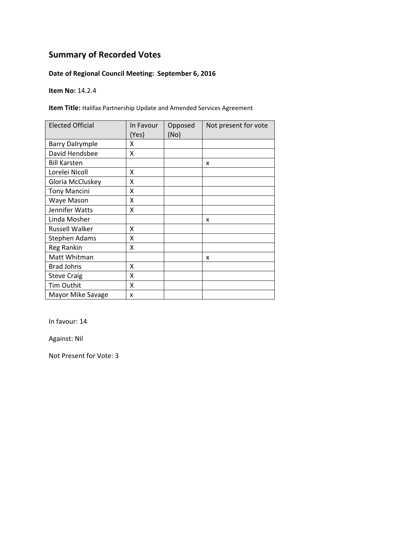## **Date of Regional Council Meeting: September 6, 2016**

**Item No:** 14.2.4

**Item Title:** Halifax Partnership Update and Amended Services Agreement

| <b>Elected Official</b> | In Favour<br>(Yes) | Opposed<br>(No) | Not present for vote |
|-------------------------|--------------------|-----------------|----------------------|
| <b>Barry Dalrymple</b>  | x                  |                 |                      |
| David Hendsbee          | X                  |                 |                      |
| <b>Bill Karsten</b>     |                    |                 | X                    |
| Lorelei Nicoll          | x                  |                 |                      |
| Gloria McCluskey        | X                  |                 |                      |
| <b>Tony Mancini</b>     | Χ                  |                 |                      |
| Waye Mason              | Χ                  |                 |                      |
| Jennifer Watts          | Χ                  |                 |                      |
| Linda Mosher            |                    |                 | x                    |
| Russell Walker          | x                  |                 |                      |
| Stephen Adams           | X                  |                 |                      |
| Reg Rankin              | X                  |                 |                      |
| Matt Whitman            |                    |                 | x                    |
| <b>Brad Johns</b>       | x                  |                 |                      |
| <b>Steve Craig</b>      | X                  |                 |                      |
| Tim Outhit              | X                  |                 |                      |
| Mayor Mike Savage       | x                  |                 |                      |

In favour: 14

Against: Nil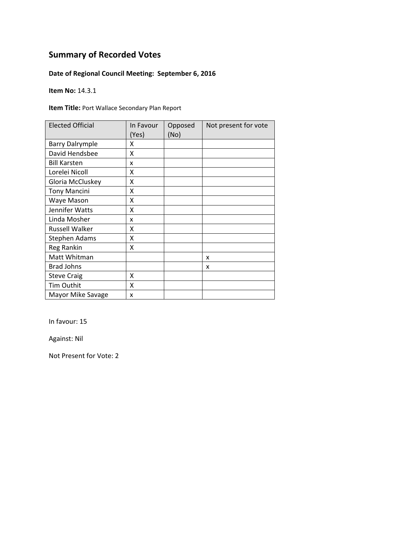## **Date of Regional Council Meeting: September 6, 2016**

**Item No:** 14.3.1

**Item Title:** Port Wallace Secondary Plan Report

| <b>Elected Official</b> | In Favour<br>(Yes) | Opposed<br>(No) | Not present for vote |
|-------------------------|--------------------|-----------------|----------------------|
| <b>Barry Dalrymple</b>  | χ                  |                 |                      |
| David Hendsbee          | x                  |                 |                      |
| <b>Bill Karsten</b>     | x                  |                 |                      |
| Lorelei Nicoll          | x                  |                 |                      |
| Gloria McCluskey        | Χ                  |                 |                      |
| <b>Tony Mancini</b>     | Χ                  |                 |                      |
| Waye Mason              | Χ                  |                 |                      |
| Jennifer Watts          | Χ                  |                 |                      |
| Linda Mosher            | x                  |                 |                      |
| Russell Walker          | χ                  |                 |                      |
| <b>Stephen Adams</b>    | χ                  |                 |                      |
| Reg Rankin              | Χ                  |                 |                      |
| Matt Whitman            |                    |                 | x                    |
| <b>Brad Johns</b>       |                    |                 | x                    |
| <b>Steve Craig</b>      | X                  |                 |                      |
| <b>Tim Outhit</b>       | Χ                  |                 |                      |
| Mayor Mike Savage       | X                  |                 |                      |

In favour: 15

Against: Nil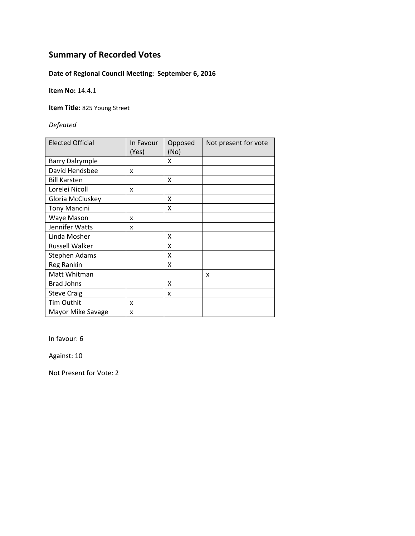## **Date of Regional Council Meeting: September 6, 2016**

**Item No:** 14.4.1

**Item Title:** 825 Young Street

*Defeated*

| <b>Elected Official</b> | In Favour<br>(Yes) | Opposed<br>(No) | Not present for vote |
|-------------------------|--------------------|-----------------|----------------------|
| <b>Barry Dalrymple</b>  |                    | X               |                      |
| David Hendsbee          | x                  |                 |                      |
| <b>Bill Karsten</b>     |                    | x               |                      |
| Lorelei Nicoll          | x                  |                 |                      |
| Gloria McCluskey        |                    | X               |                      |
| <b>Tony Mancini</b>     |                    | X               |                      |
| Waye Mason              | x                  |                 |                      |
| Jennifer Watts          | x                  |                 |                      |
| Linda Mosher            |                    | X               |                      |
| <b>Russell Walker</b>   |                    | X               |                      |
| Stephen Adams           |                    | X               |                      |
| Reg Rankin              |                    | X               |                      |
| Matt Whitman            |                    |                 | x                    |
| <b>Brad Johns</b>       |                    | X               |                      |
| <b>Steve Craig</b>      |                    | x               |                      |
| <b>Tim Outhit</b>       | x                  |                 |                      |
| Mayor Mike Savage       | x                  |                 |                      |

In favour: 6

Against: 10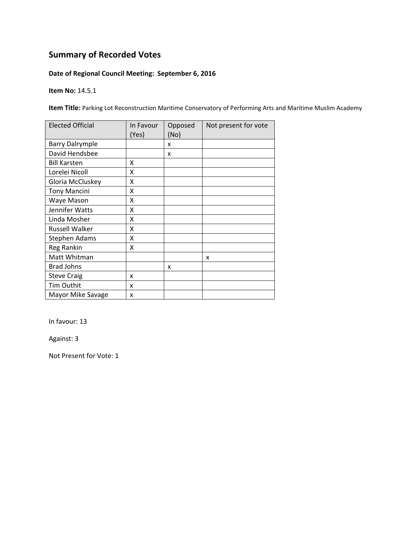## **Date of Regional Council Meeting: September 6, 2016**

**Item No:** 14.5.1

**Item Title:** Parking Lot Reconstruction Maritime Conservatory of Performing Arts and Maritime Muslim Academy

| <b>Elected Official</b> | In Favour<br>(Yes) | Opposed<br>(No) | Not present for vote |
|-------------------------|--------------------|-----------------|----------------------|
| <b>Barry Dalrymple</b>  |                    | x               |                      |
| David Hendsbee          |                    | X               |                      |
| <b>Bill Karsten</b>     | x                  |                 |                      |
| Lorelei Nicoll          | X                  |                 |                      |
| Gloria McCluskey        | Χ                  |                 |                      |
| <b>Tony Mancini</b>     | Χ                  |                 |                      |
| Waye Mason              | Χ                  |                 |                      |
| Jennifer Watts          | x                  |                 |                      |
| Linda Mosher            | X                  |                 |                      |
| Russell Walker          | Χ                  |                 |                      |
| <b>Stephen Adams</b>    | X                  |                 |                      |
| Reg Rankin              | X                  |                 |                      |
| Matt Whitman            |                    |                 | x                    |
| <b>Brad Johns</b>       |                    | x               |                      |
| <b>Steve Craig</b>      | x                  |                 |                      |
| Tim Outhit              | x                  |                 |                      |
| Mayor Mike Savage       | x                  |                 |                      |

In favour: 13

Against: 3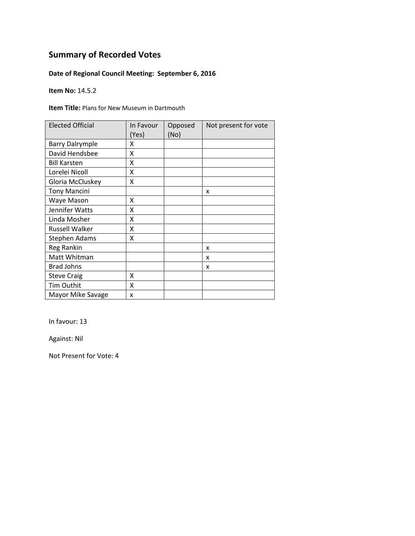## **Date of Regional Council Meeting: September 6, 2016**

**Item No:** 14.5.2

**Item Title:** Plans for New Museum in Dartmouth

| <b>Elected Official</b> | In Favour<br>(Yes) | Opposed<br>(No) | Not present for vote |
|-------------------------|--------------------|-----------------|----------------------|
| <b>Barry Dalrymple</b>  | χ                  |                 |                      |
| David Hendsbee          | X                  |                 |                      |
| <b>Bill Karsten</b>     | X                  |                 |                      |
| Lorelei Nicoll          | χ                  |                 |                      |
| Gloria McCluskey        | Χ                  |                 |                      |
| <b>Tony Mancini</b>     |                    |                 | x                    |
| Waye Mason              | X                  |                 |                      |
| Jennifer Watts          | χ                  |                 |                      |
| Linda Mosher            | Χ                  |                 |                      |
| <b>Russell Walker</b>   | Χ                  |                 |                      |
| <b>Stephen Adams</b>    | χ                  |                 |                      |
| Reg Rankin              |                    |                 | x                    |
| Matt Whitman            |                    |                 | x                    |
| <b>Brad Johns</b>       |                    |                 | x                    |
| <b>Steve Craig</b>      | X                  |                 |                      |
| Tim Outhit              | Χ                  |                 |                      |
| Mayor Mike Savage       | x                  |                 |                      |

In favour: 13

Against: Nil